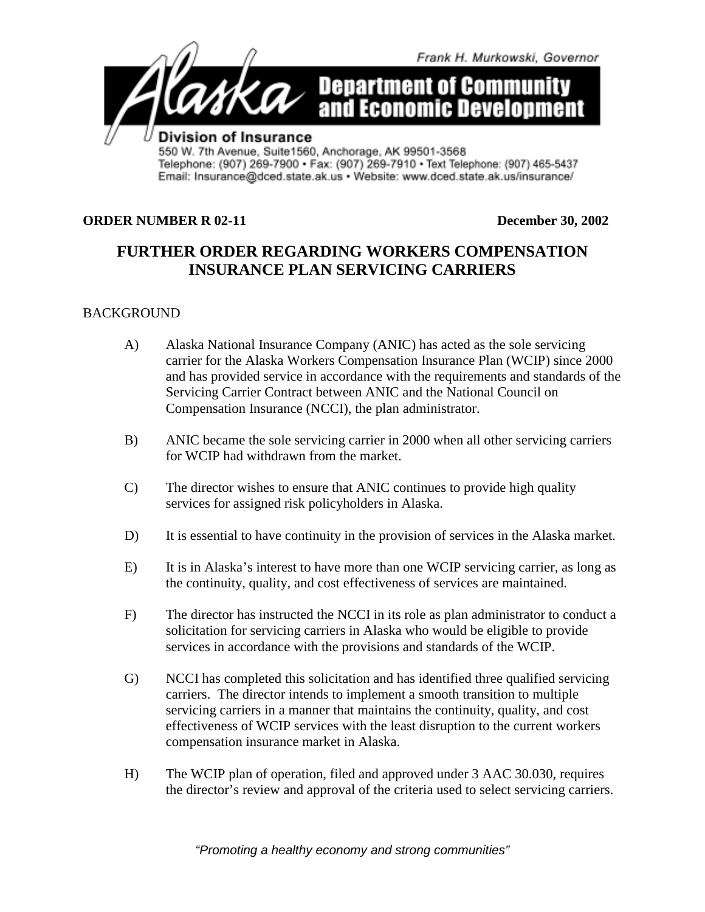

## **ORDER NUMBER R 02-11** December 30, 2002

## **FURTHER ORDER REGARDING WORKERS COMPENSATION INSURANCE PLAN SERVICING CARRIERS**

## BACKGROUND

- A) Alaska National Insurance Company (ANIC) has acted as the sole servicing carrier for the Alaska Workers Compensation Insurance Plan (WCIP) since 2000 and has provided service in accordance with the requirements and standards of the Servicing Carrier Contract between ANIC and the National Council on Compensation Insurance (NCCI), the plan administrator.
- B) ANIC became the sole servicing carrier in 2000 when all other servicing carriers for WCIP had withdrawn from the market.
- C) The director wishes to ensure that ANIC continues to provide high quality services for assigned risk policyholders in Alaska.
- D) It is essential to have continuity in the provision of services in the Alaska market.
- E) It is in Alaska's interest to have more than one WCIP servicing carrier, as long as the continuity, quality, and cost effectiveness of services are maintained.
- F) The director has instructed the NCCI in its role as plan administrator to conduct a solicitation for servicing carriers in Alaska who would be eligible to provide services in accordance with the provisions and standards of the WCIP.
- G) NCCI has completed this solicitation and has identified three qualified servicing carriers. The director intends to implement a smooth transition to multiple servicing carriers in a manner that maintains the continuity, quality, and cost effectiveness of WCIP services with the least disruption to the current workers compensation insurance market in Alaska.
- H) The WCIP plan of operation, filed and approved under 3 AAC 30.030, requires the director's review and approval of the criteria used to select servicing carriers.